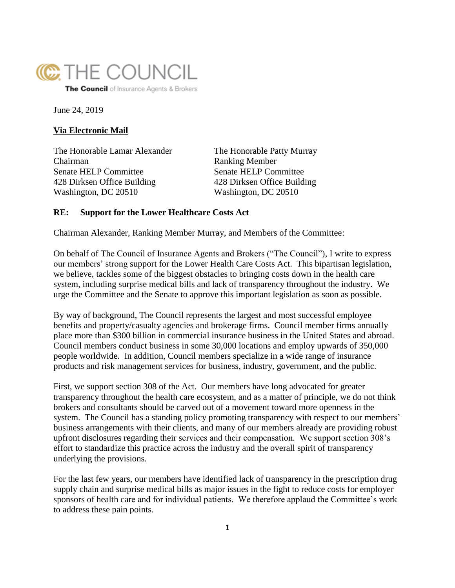

The Council of Insurance Agents & Brokers

June 24, 2019

## **Via Electronic Mail**

The Honorable Lamar Alexander The Honorable Patty Murray Chairman Ranking Member Senate HELP Committee Senate HELP Committee 428 Dirksen Office Building 428 Dirksen Office Building Washington, DC 20510 Washington, DC 20510

## **RE: Support for the Lower Healthcare Costs Act**

Chairman Alexander, Ranking Member Murray, and Members of the Committee:

On behalf of The Council of Insurance Agents and Brokers ("The Council"), I write to express our members' strong support for the Lower Health Care Costs Act. This bipartisan legislation, we believe, tackles some of the biggest obstacles to bringing costs down in the health care system, including surprise medical bills and lack of transparency throughout the industry. We urge the Committee and the Senate to approve this important legislation as soon as possible.

By way of background, The Council represents the largest and most successful employee benefits and property/casualty agencies and brokerage firms. Council member firms annually place more than \$300 billion in commercial insurance business in the United States and abroad. Council members conduct business in some 30,000 locations and employ upwards of 350,000 people worldwide. In addition, Council members specialize in a wide range of insurance products and risk management services for business, industry, government, and the public.

First, we support section 308 of the Act. Our members have long advocated for greater transparency throughout the health care ecosystem, and as a matter of principle, we do not think brokers and consultants should be carved out of a movement toward more openness in the system. The Council has a standing policy promoting transparency with respect to our members' business arrangements with their clients, and many of our members already are providing robust upfront disclosures regarding their services and their compensation. We support section 308's effort to standardize this practice across the industry and the overall spirit of transparency underlying the provisions.

For the last few years, our members have identified lack of transparency in the prescription drug supply chain and surprise medical bills as major issues in the fight to reduce costs for employer sponsors of health care and for individual patients. We therefore applaud the Committee's work to address these pain points.